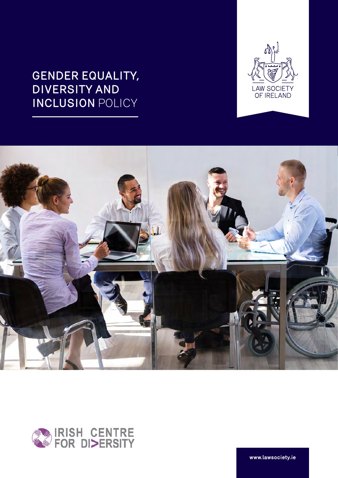





**www.lawsociety.ie**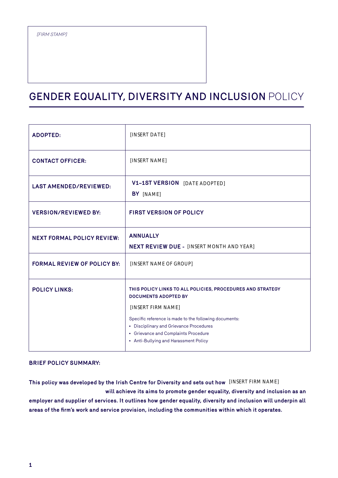| <b>ADOPTED:</b>                    | [INSERT DATE]                                                                                                                                                                                                                                                |
|------------------------------------|--------------------------------------------------------------------------------------------------------------------------------------------------------------------------------------------------------------------------------------------------------------|
| <b>CONTACT OFFICER:</b>            | [INSERT NAME]                                                                                                                                                                                                                                                |
| <b>LAST AMENDED/REVIEWED:</b>      | <b>V1-1ST VERSION</b> [DATE ADOPTED]<br>BY [NAME]                                                                                                                                                                                                            |
| <b>VERSION/REVIEWED BY:</b>        | <b>FIRST VERSION OF POLICY</b>                                                                                                                                                                                                                               |
| <b>NEXT FORMAL POLICY REVIEW:</b>  | <b>ANNUALLY</b><br><b>NEXT REVIEW DUE - [INSERT MONTH AND YEAR]</b>                                                                                                                                                                                          |
| <b>FORMAL REVIEW OF POLICY BY:</b> | [INSERT NAME OF GROUP]                                                                                                                                                                                                                                       |
| <b>POLICY LINKS:</b>               | THIS POLICY LINKS TO ALL POLICIES, PROCEDURES AND STRATEGY<br><b>DOCUMENTS ADOPTED BY</b><br>[INSERT FIRM NAME]<br>Specific reference is made to the following documents:<br>• Disciplinary and Grievance Procedures<br>• Grievance and Complaints Procedure |
|                                    | • Anti-Bullying and Harassment Policy                                                                                                                                                                                                                        |

#### **BRIEF POLICY SUMMARY:**

**This policy was developed by the Irish Centre for Diversity and sets out how**  [INSERT FIRM NAME] **will achieve its aims to promote gender equality, diversity and inclusion as an employer and supplier of services. It outlines how gender equality, diversity and inclusion will underpin all areas of the firm's work and service provision, including the communities within which it operates.**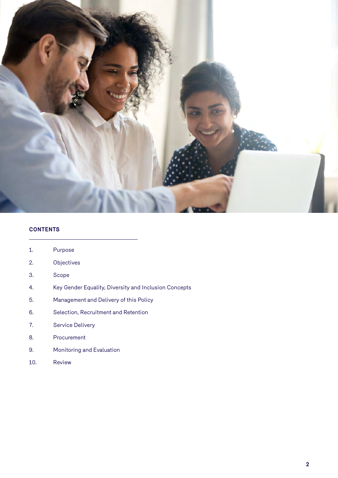

#### **CONTENTS**

| 1. | Purpose |
|----|---------|
|----|---------|

- 2. Objectives
- 3. Scope
- 4. Key Gender Equality, Diversity and Inclusion Concepts
- 5. Management and Delivery of this Policy
- 6. Selection, Recruitment and Retention
- 7. Service Delivery
- 8. Procurement
- 9. Monitoring and Evaluation
- 10. Review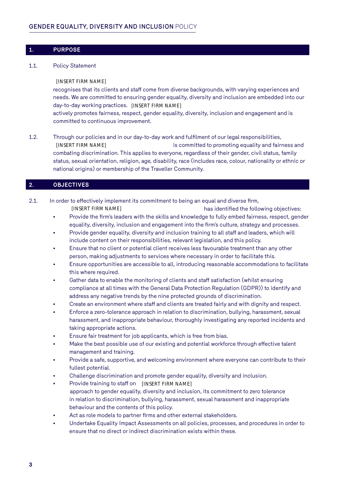#### **1. PURPOSE**

#### 1.1. Policy Statement

recognises that its clients and staff come from diverse backgrounds, with varying experiences and needs. We are committed to ensuring gender equality, diversity and inclusion are embedded into our day-to-day working practices. [INSERT FIRM NAME] actively promotes fairness, respect, gender equality, diversity, inclusion and engagement and is committed to continuous improvement.

1.2. Through our policies and in our day-to-day work and fulfilment of our legal responsibilities, [INSERT FIRM NAME] **is committed to promoting equality and fairness and** combating discrimination. This applies to everyone, regardless of their gender, civil status, family status, sexual orientation, religion, age, disability, race (includes race, colour, nationality or ethnic or national origins) or membership of the Traveller Community. [INSERT FIRM NAME]<br>[INSERT FIRM NAME]<br>eceds, we are committed to ensuring gender equality, diay-to-day working practices. [INSERT FIRM NAME]<br>tatively promotes fairness, respect, genere equality, div<br>committed to continuous

#### **2. OBJECTIVES**

- 2.1. In order to effectively implement its commitment to being an equal and diverse firm,
	- has identified the following objectives: • Provide the firm's leaders with the skills and knowledge to fully embed fairness, respect, gender
	- equality, diversity, inclusion and engagement into the firm's culture, strategy and processes.
	- Provide gender equality, diversity and inclusion training to all staff and leaders, which will include content on their responsibilities, relevant legislation, and this policy.
	- Ensure that no client or potential client receives less favourable treatment than any other person, making adjustments to services where necessary in order to facilitate this.
	- Ensure opportunities are accessible to all, introducing reasonable accommodations to facilitate this where required.
	- Gather data to enable the monitoring of clients and staff satisfaction (whilst ensuring compliance at all times with the General Data Protection Regulation (GDPR)) to identify and address any negative trends by the nine protected grounds of discrimination.
	- Create an environment where staff and clients are treated fairly and with dignity and respect.
	- Enforce a zero-tolerance approach in relation to discrimination, bullying, harassment, sexual harassment, and inappropriate behaviour, thoroughly investigating any reported incidents and taking appropriate actions.
	- Ensure fair treatment for job applicants, which is free from bias.
	- Make the best possible use of our existing and potential workforce through effective talent management and training.
	- Provide a safe, supportive, and welcoming environment where everyone can contribute to their fullest potential.
	- Challenge discrimination and promote gender equality, diversity and inclusion.
	- Provide training to staff on [INSERT FIRM NAME] approach to gender equality, diversity and inclusion, its commitment to zero tolerance in relation to discrimination, bullying, harassment, sexual harassment and inappropriate behaviour and the contents of this policy.
	- Act as role models to partner firms and other external stakeholders.
	- Undertake Equality Impact Assessments on all policies, processes, and procedures in order to ensure that no direct or indirect discrimination exists within these.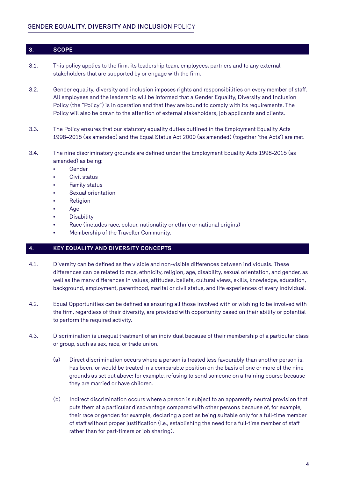#### **3. SCOPE**

- 3.1. This policy applies to the firm, its leadership team, employees, partners and to any external stakeholders that are supported by or engage with the firm.
- 3.2. Gender equality, diversity and inclusion imposes rights and responsibilities on every member of staff. All employees and the leadership will be informed that a Gender Equality, Diversity and Inclusion Policy (the "Policy") is in operation and that they are bound to comply with its requirements. The Policy will also be drawn to the attention of external stakeholders, job applicants and clients.
- 3.3. The Policy ensures that our statutory equality duties outlined in the Employment Equality Acts 1998–2015 (as amended) and the Equal Status Act 2000 (as amended) (together 'the Acts') are met.
- 3.4. The nine discriminatory grounds are defined under the Employment Equality Acts 1998-2015 (as amended) as being:
	- Gender
	- Civil status
	- Family status
	- Sexual orientation
	- **Religion**
	- Age
	- **Disability**
	- Race (includes race, colour, nationality or ethnic or national origins)
	- Membership of the Traveller Community.

#### **4. KEY EQUALITY AND DIVERSITY CONCEPTS**

- 4.1. Diversity can be defined as the visible and non-visible differences between individuals. These differences can be related to race, ethnicity, religion, age, disability, sexual orientation, and gender, as well as the many differences in values, attitudes, beliefs, cultural views, skills, knowledge, education, background, employment, parenthood, marital or civil status, and life experiences of every individual.
- 4.2. Equal Opportunities can be defined as ensuring all those involved with or wishing to be involved with the firm, regardless of their diversity, are provided with opportunity based on their ability or potential to perform the required activity.
- 4.3. Discrimination is unequal treatment of an individual because of their membership of a particular class or group, such as sex, race, or trade union.
	- (a) Direct discrimination occurs where a person is treated less favourably than another person is, has been, or would be treated in a comparable position on the basis of one or more of the nine grounds as set out above: for example, refusing to send someone on a training course because they are married or have children.
	- (b) Indirect discrimination occurs where a person is subject to an apparently neutral provision that puts them at a particular disadvantage compared with other persons because of, for example, their race or gender: for example, declaring a post as being suitable only for a full-time member of staff without proper justification (i.e., establishing the need for a full-time member of staff rather than for part-timers or job sharing).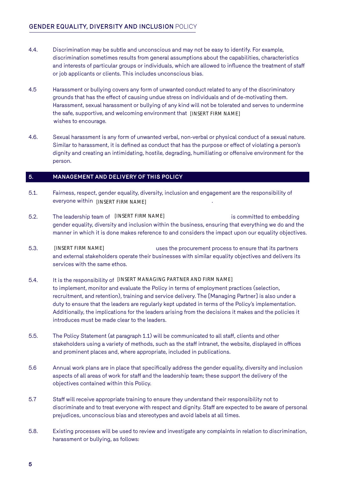- 4.4. Discrimination may be subtle and unconscious and may not be easy to identify. For example, discrimination sometimes results from general assumptions about the capabilities, characteristics and interests of particular groups or individuals, which are allowed to influence the treatment of staff or job applicants or clients. This includes unconscious bias.
- 4.5 Harassment or bullying covers any form of unwanted conduct related to any of the discriminatory grounds that has the effect of causing undue stress on individuals and of de-motivating them. Harassment, sexual harassment or bullying of any kind will not be tolerated and serves to undermine the safe, supportive, and welcoming environment that [INSERT FIRM NAME] wishes to encourage.
- 4.6. Sexual harassment is any form of unwanted verbal, non-verbal or physical conduct of a sexual nature. Similar to harassment, it is defined as conduct that has the purpose or effect of violating a person's dignity and creating an intimidating, hostile, degrading, humiliating or offensive environment for the person.

#### **5. MANAGEMENT AND DELIVERY OF THIS POLICY**

- 5.1. Fairness, respect, gender equality, diversity, inclusion and engagement are the responsibility of everyone within  $[INSERT\text{ FIRM NAME}]$  .
- 5.2. The leadership team of [INSERT FIRM NAME] is committed to embedding gender equality, diversity and inclusion within the business, ensuring that everything we do and the manner in which it is done makes reference to and considers the impact upon our equality objectives.
- 5.3. uses the procurement process to ensure that its partners and external stakeholders operate their businesses with similar equality objectives and delivers its services with the same ethos. 5.2. The leadership team of [INSERT FIRM NAME] gender equality, diversity and inclusion within the business, ensuring the manner in which it is done makes reference to and considers the impact<br>5.3. [INSERT FIRM NAME] uses [INSERT FIRM NAME]

# to implement, monitor and evaluate the Policy in terms of employment practices (selection, recruitment, and retention), training and service delivery. The [Managing Partner] is also under a duty to ensure that the leaders are regularly kept updated in terms of the Policy's implementation. Additionally, the implications for the leaders arising from the decisions it makes and the policies it introduces must be made clear to the leaders.

- 5.5. The Policy Statement (at paragraph 1.1) will be communicated to all staff, clients and other stakeholders using a variety of methods, such as the staff intranet, the website, displayed in offices and prominent places and, where appropriate, included in publications.
- 5.6 Annual work plans are in place that specifically address the gender equality, diversity and inclusion aspects of all areas of work for staff and the leadership team; these support the delivery of the objectives contained within this Policy.
- 5.7 Staff will receive appropriate training to ensure they understand their responsibility not to discriminate and to treat everyone with respect and dignity. Staff are expected to be aware of personal prejudices, unconscious bias and stereotypes and avoid labels at all times.
- 5.8. Existing processes will be used to review and investigate any complaints in relation to discrimination, harassment or bullying, as follows: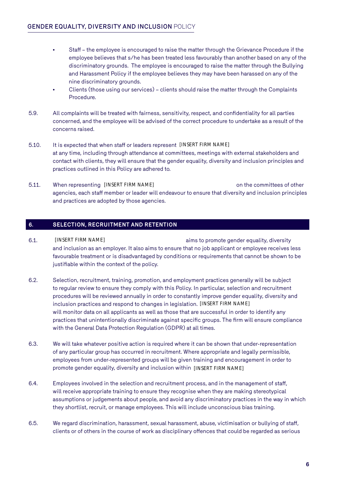- Staff the employee is encouraged to raise the matter through the Grievance Procedure if the employee believes that s/he has been treated less favourably than another based on any of the discriminatory grounds. The employee is encouraged to raise the matter through the Bullying and Harassment Policy if the employee believes they may have been harassed on any of the nine discriminatory grounds.
- Clients (those using our services) clients should raise the matter through the Complaints Procedure.
- 5.9. All complaints will be treated with fairness, sensitivity, respect, and confidentiality for all parties concerned, and the employee will be advised of the correct procedure to undertake as a result of the concerns raised.
- 5.10. It is expected that when staff or leaders represent [INSERT FIRM NAME] at any time, including through attendance at committees, meetings with external stakeholders and contact with clients, they will ensure that the gender equality, diversity and inclusion principles and practices outlined in this Policy are adhered to.
- 5.11. When representing [INSERT FIRM NAME] states on the committees of other the committees of other the states of other the committees of other the states of other the states of other the states of other the states of oth agencies, each staff member or leader will endeavour to ensure that diversity and inclusion principles and practices are adopted by those agencies.

### **6. SELECTION, RECRUITMENT AND RETENTION**

- 6.1. **INSERT FIRM NAME aims to promote gender equality, diversity** and inclusion as an employer. It also aims to ensure that no job applicant or employee receives less favourable treatment or is disadvantaged by conditions or requirements that cannot be shown to be justifiable within the context of the policy. [INSERT FIRM NAME]
- 6.2. Selection, recruitment, training, promotion, and employment practices generally will be subject to regular review to ensure they comply with this Policy. In particular, selection and recruitment procedures will be reviewed annually in order to constantly improve gender equality, diversity and inclusion practices and respond to changes in legislation. [INSERT FIRM NAME] will monitor data on all applicants as well as those that are successful in order to identify any practices that unintentionally discriminate against specific groups. The firm will ensure compliance with the General Data Protection Regulation (GDPR) at all times.
- 6.3. We will take whatever positive action is required where it can be shown that under-representation of any particular group has occurred in recruitment. Where appropriate and legally permissible, employees from under-represented groups will be given training and encouragement in order to promote gender equality, diversity and inclusion within [INSERT FIRM NAME]
- 6.4. Employees involved in the selection and recruitment process, and in the management of staff, will receive appropriate training to ensure they recognise when they are making stereotypical assumptions or judgements about people, and avoid any discriminatory practices in the way in which they shortlist, recruit, or manage employees. This will include unconscious bias training.
- 6.5. We regard discrimination, harassment, sexual harassment, abuse, victimisation or bullying of staff, clients or of others in the course of work as disciplinary offences that could be regarded as serious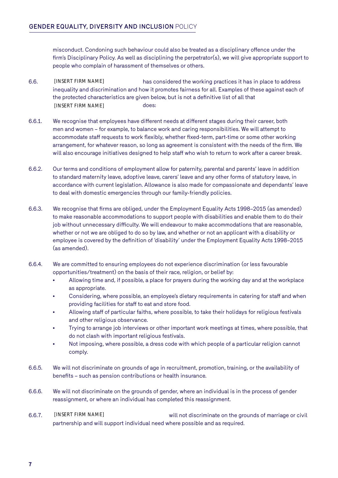misconduct. Condoning such behaviour could also be treated as a disciplinary offence under the firm's Disciplinary Policy. As well as disciplining the perpetrator(s), we will give appropriate support to people who complain of harassment of themselves or others.

- 6.6. has considered the working practices it has in place to address inequality and discrimination and how it promotes fairness for all. Examples of these against each of the protected characteristics are given below, but is not a definitive list of all that [INSERT FIRM NAME] does: [INSERT FIRM NAME]
- 6.6.1. We recognise that employees have different needs at different stages during their career, both men and women – for example, to balance work and caring responsibilities. We will attempt to accommodate staff requests to work flexibly, whether fixed-term, part-time or some other working arrangement, for whatever reason, so long as agreement is consistent with the needs of the firm. We will also encourage initiatives designed to help staff who wish to return to work after a career break.
- 6.6.2. Our terms and conditions of employment allow for paternity, parental and parents' leave in addition to standard maternity leave, adoptive leave, carers' leave and any other forms of statutory leave, in accordance with current legislation. Allowance is also made for compassionate and dependants' leave to deal with domestic emergencies through our family-friendly policies.
- 6.6.3. We recognise that firms are obliged, under the Employment Equality Acts 1998–2015 (as amended) to make reasonable accommodations to support people with disabilities and enable them to do their job without unnecessary difficulty. We will endeavour to make accommodations that are reasonable, whether or not we are obliged to do so by law, and whether or not an applicant with a disability or employee is covered by the definition of 'disability' under the Employment Equality Acts 1998–2015 (as amended).
- 6.6.4. We are committed to ensuring employees do not experience discrimination (or less favourable opportunities/treatment) on the basis of their race, religion, or belief by:
	- Allowing time and, if possible, a place for prayers during the working day and at the workplace as appropriate.
	- Considering, where possible, an employee's dietary requirements in catering for staff and when providing facilities for staff to eat and store food.
	- Allowing staff of particular faiths, where possible, to take their holidays for religious festivals and other religious observance.
	- Trying to arrange job interviews or other important work meetings at times, where possible, that do not clash with important religious festivals.
	- Not imposing, where possible, a dress code with which people of a particular religion cannot comply.
- 6.6.5. We will not discriminate on grounds of age in recruitment, promotion, training, or the availability of benefits – such as pension contributions or health insurance.
- 6.6.6. We will not discriminate on the grounds of gender, where an individual is in the process of gender reassignment, or where an individual has completed this reassignment.
- 6.6.7. will not discriminate on the grounds of marriage or civil partnership and will support individual need where possible and as required. [INSERT FIRM NAME]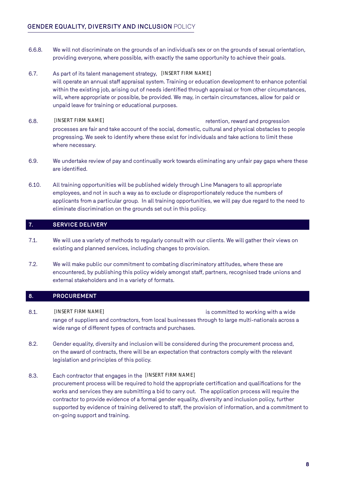- 6.6.8. We will not discriminate on the grounds of an individual's sex or on the grounds of sexual orientation, providing everyone, where possible, with exactly the same opportunity to achieve their goals.
- 6.7. As part of its talent management strategy, [INSERT FIRM NAME] will operate an annual staff appraisal system. Training or education development to enhance potential within the existing job, arising out of needs identified through appraisal or from other circumstances, will, where appropriate or possible, be provided. We may, in certain circumstances, allow for paid or unpaid leave for training or educational purposes.
- 6.8. [INSERT FIRM NAME] THE SALE REPORTS TO A REFORM THE RESIDENCE REPORTS TO A REPORT OF A REPORT OF A REPORT OF A REPORT OF A REPORT OF A REPORT OF A REPORT OF A REPORT OF A REPORT OF A REPORT OF A REPORT OF A REPORT OF processes are fair and take account of the social, domestic, cultural and physical obstacles to people progressing. We seek to identify where these exist for individuals and take actions to limit these where necessary. [INSERT FIRM NAME]
- 6.9. We undertake review of pay and continually work towards eliminating any unfair pay gaps where these are identified.
- 6.10. All training opportunities will be published widely through Line Managers to all appropriate employees, and not in such a way as to exclude or disproportionately reduce the numbers of applicants from a particular group. In all training opportunities, we will pay due regard to the need to eliminate discrimination on the grounds set out in this policy.

### **7. SERVICE DELIVERY**

- 7.1. We will use a variety of methods to regularly consult with our clients. We will gather their views on existing and planned services, including changes to provision.
- 7.2. We will make public our commitment to combating discriminatory attitudes, where these are encountered, by publishing this policy widely amongst staff, partners, recognised trade unions and external stakeholders and in a variety of formats.

#### **8. PROCUREMENT**

- 8.1. **INSERT FIRM NAME IMAGE 2008 1 is committed to working with a wide** range of suppliers and contractors, from local businesses through to large multi-nationals across a wide range of different types of contracts and purchases. [INSERT FIRM NAME]
- 8.2. Gender equality, diversity and inclusion will be considered during the procurement process and, on the award of contracts, there will be an expectation that contractors comply with the relevant legislation and principles of this policy.
- 8.3. Each contractor that engages in the [INSERT FIRM NAME]procurement process will be required to hold the appropriate certification and qualifications for the works and services they are submitting a bid to carry out. The application process will require the contractor to provide evidence of a formal gender equality, diversity and inclusion policy, further supported by evidence of training delivered to staff, the provision of information, and a commitment to on-going support and training.